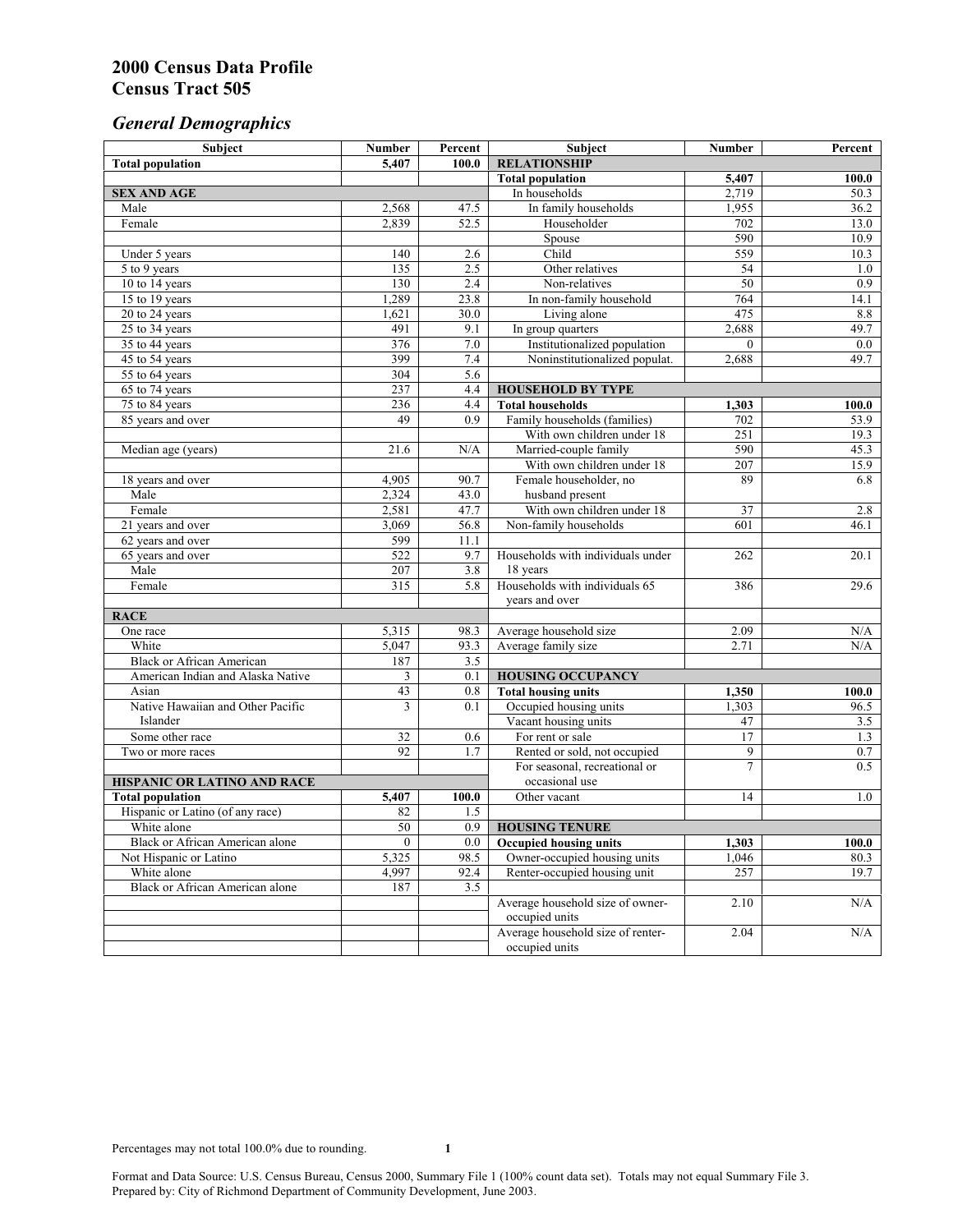# *General Demographics*

| Subject                           | <b>Number</b>   | Percent    | Subject                                                 | <b>Number</b>   | Percent       |
|-----------------------------------|-----------------|------------|---------------------------------------------------------|-----------------|---------------|
| <b>Total population</b>           | 5,407           | 100.0      | <b>RELATIONSHIP</b>                                     |                 |               |
|                                   |                 |            | <b>Total population</b>                                 | 5,407           | 100.0         |
| <b>SEX AND AGE</b>                |                 |            | In households                                           | 2,719           | 50.3          |
| Male                              | 2,568           | 47.5       | In family households                                    | 1,955           | 36.2          |
| Female                            | 2,839           | 52.5       | Householder                                             | 702             | 13.0          |
|                                   |                 |            | Spouse                                                  | 590             | 10.9          |
| Under 5 years                     | 140             | 2.6        | Child                                                   | 559             | 10.3          |
| 5 to 9 years                      | 135             | 2.5        | Other relatives                                         | $\overline{54}$ | 1.0           |
| 10 to 14 years                    | 130             | 2.4        | Non-relatives                                           | 50              | 0.9           |
| 15 to 19 years                    | 1,289           | 23.8       | In non-family household                                 | 764             | 14.1          |
| 20 to 24 years                    | 1,621           | 30.0       | Living alone                                            | 475             | 8.8           |
| $25 \text{ to } 34$ years         | 491             | 9.1        | In group quarters                                       | 2,688           | 49.7          |
| 35 to 44 years                    | 376             | 7.0        | Institutionalized population                            | $\theta$        | 0.0           |
| 45 to 54 years                    | 399             | 7.4        | Noninstitutionalized populat.                           | 2,688           | 49.7          |
| 55 to 64 years                    | 304             | 5.6        |                                                         |                 |               |
| 65 to 74 years                    | 237             | 4.4        | <b>HOUSEHOLD BY TYPE</b>                                |                 |               |
| 75 to 84 years                    | 236<br>49       | 4.4<br>0.9 | <b>Total households</b><br>Family households (families) | 1,303<br>702    | 100.0<br>53.9 |
| 85 years and over                 |                 |            | With own children under 18                              | 251             | 19.3          |
|                                   | 21.6            | N/A        | Married-couple family                                   | 590             | 45.3          |
| Median age (years)                |                 |            | With own children under 18                              | 207             | 15.9          |
| 18 years and over                 | 4,905           | 90.7       | Female householder, no                                  | 89              | 6.8           |
| Male                              | 2,324           | 43.0       | husband present                                         |                 |               |
| Female                            | 2,581           | 47.7       | With own children under 18                              | 37              | 2.8           |
| 21 years and over                 | 3,069           | 56.8       | Non-family households                                   | 601             | 46.1          |
| 62 years and over                 | 599             | 11.1       |                                                         |                 |               |
| 65 years and over                 | 522             | 9.7        | Households with individuals under                       | 262             | 20.1          |
| Male                              | 207             | 3.8        | 18 years                                                |                 |               |
| Female                            | 315             | 5.8        | Households with individuals 65                          | 386             | 29.6          |
|                                   |                 |            | years and over                                          |                 |               |
| <b>RACE</b>                       |                 |            |                                                         |                 |               |
| One race                          | 5,315           | 98.3       | Average household size                                  | 2.09            | $\rm N/A$     |
| White                             | 5,047           | 93.3       | Average family size                                     | 2.71            | N/A           |
| <b>Black or African American</b>  | 187             | 3.5        |                                                         |                 |               |
| American Indian and Alaska Native | 3               | 0.1        | <b>HOUSING OCCUPANCY</b>                                |                 |               |
| Asian                             | 43              | 0.8        | <b>Total housing units</b>                              | 1,350           | 100.0         |
| Native Hawaiian and Other Pacific | 3               | 0.1        | Occupied housing units                                  | 1,303           | 96.5          |
| Islander                          |                 |            | Vacant housing units                                    | 47              | 3.5           |
| Some other race                   | 32              | 0.6        | For rent or sale                                        | 17              | 1.3           |
| Two or more races                 | 92              | 1.7        | Rented or sold, not occupied                            | 9               | $0.7\,$       |
|                                   |                 |            | For seasonal, recreational or                           | $\overline{7}$  | 0.5           |
| HISPANIC OR LATINO AND RACE       |                 |            | occasional use                                          |                 |               |
| <b>Total population</b>           | 5,407           | 100.0      | Other vacant                                            | 14              | 1.0           |
| Hispanic or Latino (of any race)  | 82              | 1.5        |                                                         |                 |               |
| White alone                       | $\overline{50}$ | 0.9        | <b>HOUSING TENURE</b>                                   |                 |               |
| Black or African American alone   | $\mathbf{0}$    | 0.0        | <b>Occupied housing units</b>                           | 1,303           | 100.0         |
| Not Hispanic or Latino            | 5,325           | 98.5       | Owner-occupied housing units                            | 1,046           | 80.3          |
| White alone                       | 4,997           | 92.4       | Renter-occupied housing unit                            | 257             | 19.7          |
| Black or African American alone   | 187             | 3.5        |                                                         |                 |               |
|                                   |                 |            | Average household size of owner-                        | 2.10            | N/A           |
|                                   |                 |            | occupied units                                          |                 |               |
|                                   |                 |            | Average household size of renter-                       | 2.04            | N/A           |
|                                   |                 |            | occupied units                                          |                 |               |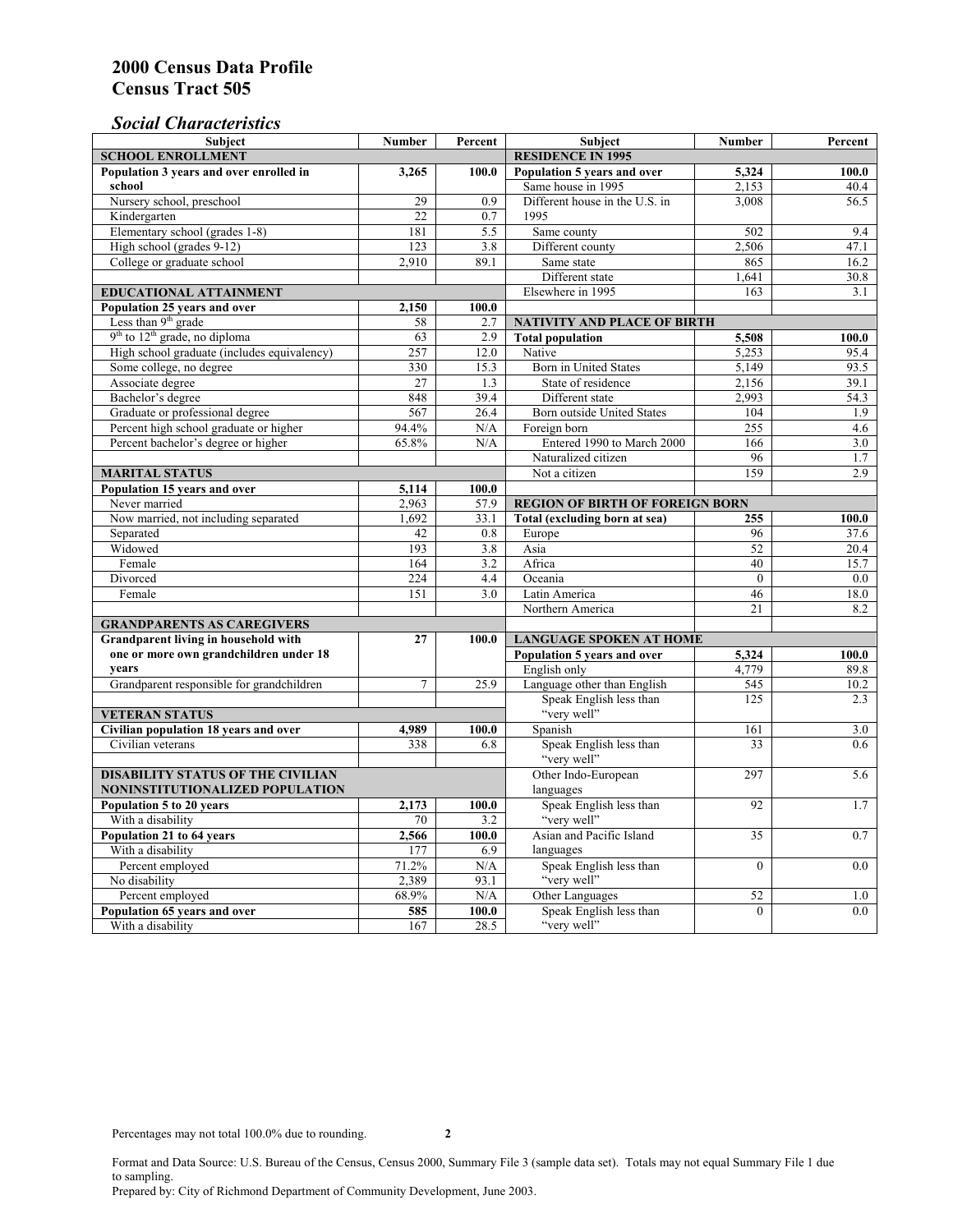## *Social Characteristics*

| <b>Subject</b>                                      | <b>Number</b>            | Percent                        | <b>Subject</b>                         | <b>Number</b> | Percent |
|-----------------------------------------------------|--------------------------|--------------------------------|----------------------------------------|---------------|---------|
| <b>SCHOOL ENROLLMENT</b>                            | <b>RESIDENCE IN 1995</b> |                                |                                        |               |         |
| Population 3 years and over enrolled in             | 3,265                    | 100.0                          | Population 5 years and over            | 5,324         | 100.0   |
| school                                              |                          |                                | Same house in 1995                     | 2,153         | 40.4    |
| Nursery school, preschool                           | 29                       | 0.9                            | Different house in the U.S. in         | 3.008         | 56.5    |
| Kindergarten                                        | 22                       | 0.7                            | 1995                                   |               |         |
| Elementary school (grades 1-8)                      | 181                      | 5.5                            | Same county                            | 502           | 9.4     |
| High school (grades 9-12)                           | 123                      | 3.8                            | Different county                       | 2,506         | 47.1    |
| College or graduate school                          | 2,910                    | 89.1                           | Same state                             | 865           | 16.2    |
|                                                     |                          |                                | Different state                        | 1.641         | 30.8    |
| <b>EDUCATIONAL ATTAINMENT</b>                       |                          |                                | Elsewhere in 1995                      | 163           | 3.1     |
| Population 25 years and over                        | 2,150                    | 100.0                          |                                        |               |         |
| Less than 9 <sup>th</sup> grade                     | 58                       | 2.7                            | NATIVITY AND PLACE OF BIRTH            |               |         |
| $9th$ to $12th$ grade, no diploma                   | 63                       | 2.9                            | <b>Total population</b>                | 5,508         | 100.0   |
| High school graduate (includes equivalency)         | 257                      | 12.0                           | Native                                 | 5.253         | 95.4    |
| Some college, no degree                             | 330                      | 15.3                           | Born in United States                  | 5,149         | 93.5    |
| Associate degree                                    | 27                       | 1.3                            | State of residence                     | 2,156         | 39.1    |
| Bachelor's degree                                   | 848                      | 39.4                           | Different state                        | 2,993         | 54.3    |
| Graduate or professional degree                     | 567                      | 26.4                           | Born outside United States             | 104           | 1.9     |
| Percent high school graduate or higher              | 94.4%                    | N/A                            | Foreign born                           | 255           | 4.6     |
| Percent bachelor's degree or higher                 | 65.8%                    | N/A                            | Entered 1990 to March 2000             | 166           | 3.0     |
|                                                     |                          |                                | Naturalized citizen                    | 96            | 1.7     |
| <b>MARITAL STATUS</b>                               | Not a citizen            | 159                            | 2.9                                    |               |         |
| Population 15 years and over                        | 5,114                    | 100.0                          |                                        |               |         |
| Never married                                       | 2,963                    | 57.9                           | <b>REGION OF BIRTH OF FOREIGN BORN</b> |               |         |
| Now married, not including separated                | 1.692                    | 33.1                           | Total (excluding born at sea)          | 255           | 100.0   |
| Separated                                           | 42                       | 0.8                            | Europe                                 | 96            | 37.6    |
| Widowed                                             | 193                      | 3.8                            | Asia                                   | 52            | 20.4    |
| Female                                              | 164                      | 3.2                            | Africa                                 | 40            | 15.7    |
| Divorced                                            | 224                      | 4.4                            | Oceania                                | $\theta$      | 0.0     |
| Female                                              | 151                      | 3.0                            | Latin America                          | 46            | 18.0    |
|                                                     |                          |                                | Northern America                       | 21            | 8.2     |
| <b>GRANDPARENTS AS CAREGIVERS</b>                   |                          |                                |                                        |               |         |
| Grandparent living in household with<br>27<br>100.0 |                          | <b>LANGUAGE SPOKEN AT HOME</b> |                                        |               |         |
| one or more own grandchildren under 18              |                          |                                | Population 5 years and over            | 5,324         | 100.0   |
| years                                               |                          |                                | English only                           | 4,779         | 89.8    |
| Grandparent responsible for grandchildren           | $\overline{7}$           | 25.9                           | Language other than English            | 545           | 10.2    |
|                                                     |                          |                                | Speak English less than                | 125           | 2.3     |
| <b>VETERAN STATUS</b>                               |                          |                                | "very well"                            |               |         |
| Civilian population 18 years and over               | 4,989                    | 100.0                          | Spanish                                | 161           | 3.0     |
| Civilian veterans                                   | 338                      | 6.8                            | Speak English less than                | 33            | 0.6     |
|                                                     |                          |                                | "very well"                            |               |         |
| <b>DISABILITY STATUS OF THE CIVILIAN</b>            | Other Indo-European      | 297                            | 5.6                                    |               |         |
| NONINSTITUTIONALIZED POPULATION                     | languages                |                                |                                        |               |         |
| Population 5 to 20 years                            | 2,173                    | 100.0                          | Speak English less than                | 92            | 1.7     |
| With a disability                                   | 70                       | 3.2                            | "very well"                            |               |         |
| Population 21 to 64 years                           | 2,566                    | 100.0                          | Asian and Pacific Island               | 35            | 0.7     |
| With a disability                                   | 177                      | 6.9                            | languages                              |               |         |
| Percent employed                                    | 71.2%                    | N/A                            | Speak English less than                | $\mathbf{0}$  | 0.0     |
| No disability                                       | 2,389                    | 93.1                           | "very well"                            |               |         |
| Percent employed                                    | 68.9%                    | N/A                            | Other Languages                        | 52            | 1.0     |
| Population 65 years and over                        | 585                      | 100.0                          | Speak English less than                | $\mathbf{0}$  | 0.0     |
| With a disability                                   | 167                      | 28.5                           | "very well"                            |               |         |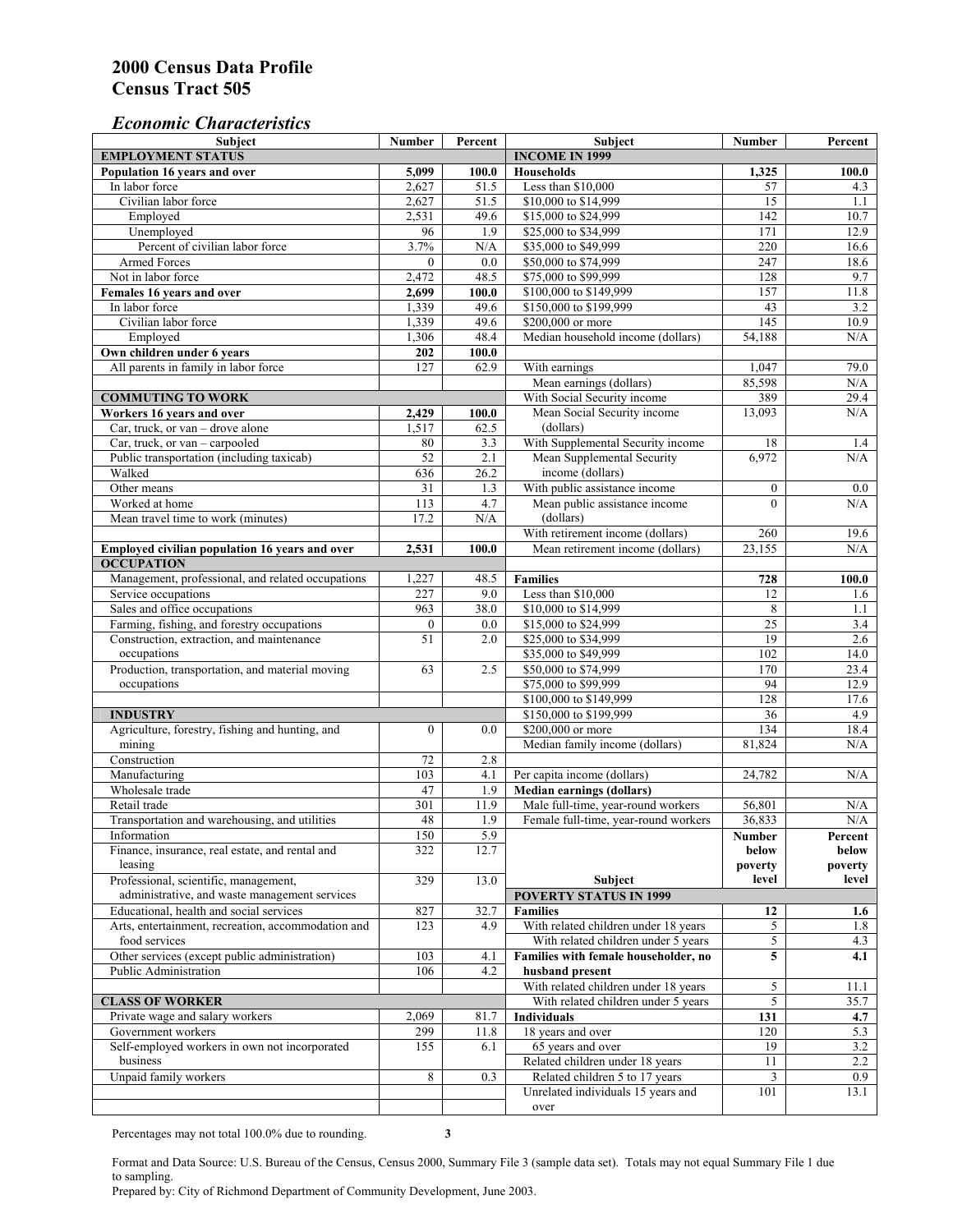## *Economic Characteristics*

| <b>Subject</b>                                     | Number           | Percent               | Subject                                    | Number           | Percent        |
|----------------------------------------------------|------------------|-----------------------|--------------------------------------------|------------------|----------------|
| <b>EMPLOYMENT STATUS</b>                           |                  | <b>INCOME IN 1999</b> |                                            |                  |                |
| Population 16 years and over                       | 5,099            | 100.0                 | Households                                 | 1,325            | 100.0          |
| In labor force                                     | 2,627            | 51.5                  | Less than \$10,000                         | 57               | 4.3            |
| Civilian labor force                               | 2,627            | 51.5                  | \$10,000 to \$14,999                       | 15               | 1.1            |
| Employed                                           | 2,531            | 49.6                  | \$15,000 to \$24,999                       | 142              | 10.7           |
| Unemployed                                         | 96               | 1.9                   | \$25,000 to \$34,999                       | 171              | 12.9           |
| Percent of civilian labor force                    | 3.7%             | N/A                   | \$35,000 to \$49,999                       | 220              | 16.6           |
| Armed Forces                                       | $\mathbf{0}$     | 0.0                   | \$50,000 to \$74,999                       | 247              | 18.6           |
| Not in labor force                                 | 2,472            | 48.5                  | \$75,000 to \$99,999                       | 128              | 9.7            |
| Females 16 years and over                          | 2,699            | 100.0                 | \$100,000 to \$149,999                     | 157              | 11.8           |
| In labor force                                     | 1,339            | 49.6                  | \$150,000 to \$199,999                     | 43               | 3.2            |
| Civilian labor force                               | 1,339            | 49.6                  | \$200,000 or more                          | 145              | 10.9           |
| Employed                                           | 1,306            | 48.4                  | Median household income (dollars)          | 54,188           | N/A            |
| Own children under 6 years                         | 202              | 100.0                 |                                            |                  |                |
| All parents in family in labor force               | 127              | 62.9                  | With earnings                              | 1,047            | 79.0           |
|                                                    |                  |                       | Mean earnings (dollars)                    | 85,598           | N/A            |
| <b>COMMUTING TO WORK</b>                           |                  |                       | With Social Security income                | 389              | 29.4           |
| Workers 16 years and over                          | 2,429            | 100.0                 | Mean Social Security income                | 13,093           | N/A            |
| Car, truck, or van – drove alone                   | 1,517            | 62.5                  | (dollars)                                  |                  |                |
| Car, truck, or van - carpooled                     | $80\,$           | 3.3                   | With Supplemental Security income          | 18               | 1.4            |
| Public transportation (including taxicab)          | 52               | 2.1                   | Mean Supplemental Security                 | 6,972            | N/A            |
| Walked                                             | 636              | 26.2                  | income (dollars)                           |                  |                |
| Other means                                        | 31               | 1.3                   | With public assistance income              | $\boldsymbol{0}$ |                |
| Worked at home                                     | 113              | 4.7                   |                                            | $\theta$         | $0.0\,$<br>N/A |
|                                                    |                  |                       | Mean public assistance income<br>(dollars) |                  |                |
| Mean travel time to work (minutes)                 | 17.2             | N/A                   |                                            |                  |                |
|                                                    |                  |                       | With retirement income (dollars)           | 260              | 19.6           |
| Employed civilian population 16 years and over     | 2,531            | 100.0                 | Mean retirement income (dollars)           | 23.155           | N/A            |
| <b>OCCUPATION</b>                                  |                  |                       |                                            |                  |                |
| Management, professional, and related occupations  | 1,227            | 48.5                  | <b>Families</b>                            | 728              | 100.0          |
| Service occupations                                | 227              | 9.0                   | Less than \$10,000                         | 12               | 1.6            |
| Sales and office occupations                       | 963              | 38.0                  | \$10,000 to \$14,999                       | 8                | 1.1            |
| Farming, fishing, and forestry occupations         | $\boldsymbol{0}$ | 0.0                   | \$15,000 to \$24,999                       | $\overline{25}$  | 3.4            |
| Construction, extraction, and maintenance          | 51               | 2.0                   | \$25,000 to \$34,999                       | 19               | 2.6            |
| occupations                                        |                  |                       | \$35,000 to \$49,999                       | 102              | 14.0           |
| Production, transportation, and material moving    | 63               | 2.5                   | \$50,000 to \$74,999                       | 170              | 23.4           |
| occupations                                        |                  |                       | \$75,000 to \$99,999                       | 94               | 12.9           |
|                                                    |                  |                       | \$100,000 to \$149,999                     | 128              | 17.6           |
| <b>INDUSTRY</b>                                    |                  |                       | \$150,000 to \$199,999                     | 36               | 4.9            |
| Agriculture, forestry, fishing and hunting, and    | $\boldsymbol{0}$ | 0.0                   | \$200,000 or more                          | 134              | 18.4           |
| mining                                             |                  |                       | Median family income (dollars)             | 81,824           | N/A            |
| Construction                                       | 72               | 2.8                   |                                            |                  |                |
| Manufacturing                                      | 103              | 4.1                   | Per capita income (dollars)                | 24,782           | N/A            |
| Wholesale trade                                    | 47               | 1.9                   | <b>Median earnings (dollars)</b>           |                  |                |
| Retail trade                                       | 301              | 11.9                  | Male full-time, year-round workers         | 56,801           | N/A            |
| Transportation and warehousing, and utilities      | 48               | 1.9                   | Female full-time, year-round workers       | 36,833           | N/A            |
| Information                                        | 150              | 5.9                   |                                            | Number           | Percent        |
| Finance, insurance, real estate, and rental and    | 322              | 12.7                  |                                            | below            | below          |
| leasing                                            |                  |                       |                                            | poverty          | poverty        |
| Professional, scientific, management,              | 329              | 13.0                  | Subject                                    | level            | level          |
| administrative, and waste management services      |                  |                       | <b>POVERTY STATUS IN 1999</b>              |                  |                |
| Educational, health and social services            | 827              | 32.7                  | <b>Families</b>                            | 12               | 1.6            |
| Arts, entertainment, recreation, accommodation and | 123              | 4.9                   | With related children under 18 years       | 5                | 1.8            |
| food services                                      |                  |                       | With related children under 5 years        | $\overline{5}$   | 4.3            |
| Other services (except public administration)      | 103              | 4.1                   | Families with female householder, no       | 5                | 4.1            |
| Public Administration                              | 106              | 4.2                   | husband present                            |                  |                |
|                                                    |                  |                       | With related children under 18 years       | 5                | 11.1           |
| <b>CLASS OF WORKER</b>                             |                  |                       | With related children under 5 years        | $\overline{5}$   | 35.7           |
| Private wage and salary workers                    | 2,069            | 81.7                  | Individuals                                | 131              | 4.7            |
| Government workers                                 | 299              | 11.8                  | 18 years and over                          | 120              | 5.3            |
| Self-employed workers in own not incorporated      | 155              | 6.1                   | 65 years and over                          | 19               | 3.2            |
| business                                           |                  |                       | Related children under 18 years            | 11               | $2.2\,$        |
| Unpaid family workers                              | 8                | 0.3                   | Related children 5 to 17 years             | 3                | 0.9            |
|                                                    |                  |                       | Unrelated individuals 15 years and         | 101              | 13.1           |
|                                                    |                  |                       | over                                       |                  |                |
|                                                    |                  |                       |                                            |                  |                |

Percentages may not total 100.0% due to rounding. **3** 

Format and Data Source: U.S. Bureau of the Census, Census 2000, Summary File 3 (sample data set). Totals may not equal Summary File 1 due to sampling.

Prepared by: City of Richmond Department of Community Development, June 2003.